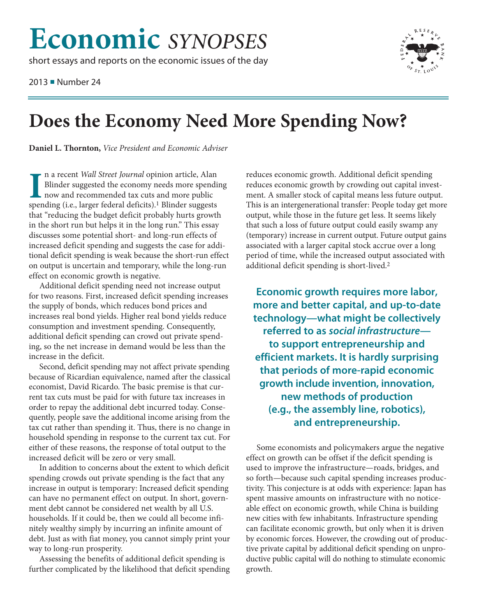## **Economic** SYNOPSES

short essays and reports on the economic issues of the day

2013 Number 24



## Does the Economy Need More Spending Now?

Daniel L. Thornton, Vice President and Economic Adviser

n a recent Wall Street Journal opinion article, Alan Blinder suggested the economy needs more spending now and recommended tax cuts and more public spending (i.e., larger federal deficits).<sup>1</sup> Blinder suggests that "reducing the budget deficit probably hurts growth in the short run but helps it in the long run." This essay discusses some potential short- and long-run effects of increased deficit spending and suggests the case for additional deficit spending is weak because the short-run effect on output is uncertain and temporary, while the long-run effect on economic growth is negative.

Additional deficit spending need not increase output for two reasons. First, increased deficit spending increases the supply of bonds, which reduces bond prices and increases real bond yields. Higher real bond yields reduce consumption and investment spending. Consequently, additional deficit spending can crowd out private spending, so the net increase in demand would be less than the increase in the deficit.

Second, deficit spending may not affect private spending because of Ricardian equivalence, named after the classical economist, David Ricardo. The basic premise is that current tax cuts must be paid for with future tax increases in order to repay the additional debt incurred today. Consequently, people save the additional income arising from the tax cut rather than spending it. Thus, there is no change in household spending in response to the current tax cut. For either of these reasons, the response of total output to the increased deficit will be zero or very small.

In addition to concerns about the extent to which deficit spending crowds out private spending is the fact that any increase in output is temporary: Increased deficit spending can have no permanent effect on output. In short, government debt cannot be considered net wealth by all U.S. households. If it could be, then we could all become infinitely wealthy simply by incurring an infinite amount of debt. Just as with fiat money, you cannot simply print your way to long-run prosperity.

Assessing the benefits of additional deficit spending is further complicated by the likelihood that deficit spending reduces economic growth. Additional deficit spending reduces economic growth by crowding out capital investment. A smaller stock of capital means less future output. This is an intergenerational transfer: People today get more output, while those in the future get less. It seems likely that such a loss of future output could easily swamp any (temporary) increase in current output. Future output gains associated with a larger capital stock accrue over a long period of time, while the increased output associated with additional deficit spending is short-lived.<sup>2</sup>

Economic growth requires more labor, more and better capital, and up-to-date technology-what might be collectively referred to as social infrastructureto support entrepreneurship and efficient markets. It is hardly surprising that periods of more-rapid economic growth include invention, innovation, new methods of production (e.g., the assembly line, robotics), and entrepreneurship.

Some economists and policymakers argue the negative effect on growth can be offset if the deficit spending is used to improve the infrastructure—roads, bridges, and so forth—because such capital spending increases productivity. This conjecture is at odds with experience: Japan has spent massive amounts on infrastructure with no noticeable effect on economic growth, while China is building new cities with few inhabitants. Infrastructure spending can facilitate economic growth, but only when it is driven by economic forces. However, the crowding out of productive private capital by additional deficit spending on unproductive public capital will do nothing to stimulate economic growth.